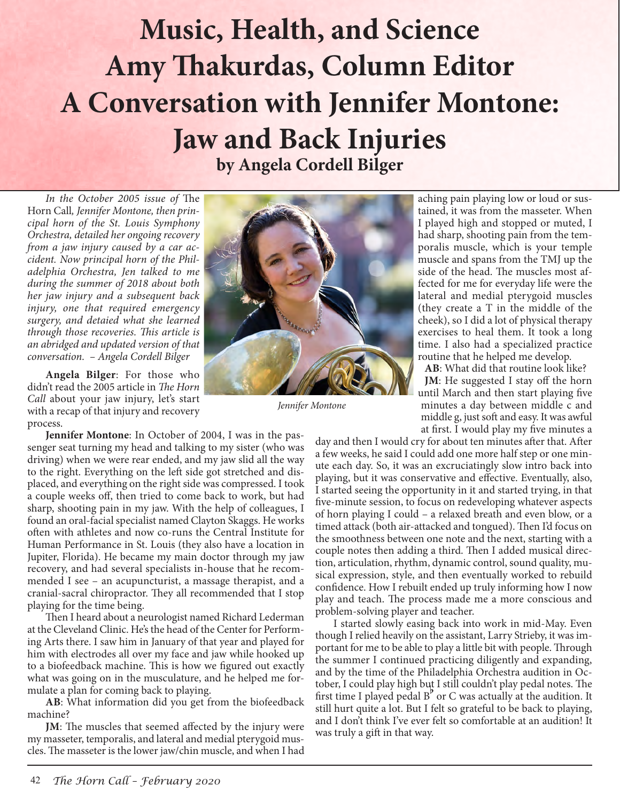## **Header Music, Health, and Science Amy Thakurdas, Column Editor A Conversation with Jennifer Montone: Jaw and Back Injuries by Angela Cordell Bilger**

*In the October 2005 issue of* The Horn Call*, Jennifer Montone, then principal horn of the St. Louis Symphony Orchestra, detailed her ongoing recovery from a jaw injury caused by a car accident. Now principal horn of the Philadelphia Orchestra, Jen talked to me during the summer of 2018 about both her jaw injury and a subsequent back injury, one that required emergency surgery, and detaied what she learned through those recoveries. This article is an abridged and updated version of that conversation. – Angela Cordell Bilger*

**Angela Bilger**: For those who didn't read the 2005 article in *The Horn Call* about your jaw injury, let's start with a recap of that injury and recovery process.

**Jennifer Montone**: In October of 2004, I was in the passenger seat turning my head and talking to my sister (who was driving) when we were rear ended, and my jaw slid all the way to the right. Everything on the left side got stretched and displaced, and everything on the right side was compressed. I took a couple weeks off, then tried to come back to work, but had sharp, shooting pain in my jaw. With the help of colleagues, I found an oral-facial specialist named Clayton Skaggs. He works often with athletes and now co-runs the Central Institute for Human Performance in St. Louis (they also have a location in Jupiter, Florida). He became my main doctor through my jaw recovery, and had several specialists in-house that he recommended I see – an acupuncturist, a massage therapist, and a cranial-sacral chiropractor. They all recommended that I stop playing for the time being.

Then I heard about a neurologist named Richard Lederman at the Cleveland Clinic. He's the head of the Center for Performing Arts there. I saw him in January of that year and played for him with electrodes all over my face and jaw while hooked up to a biofeedback machine. This is how we figured out exactly what was going on in the musculature, and he helped me formulate a plan for coming back to playing.

**AB**: What information did you get from the biofeedback machine?

**JM**: The muscles that seemed affected by the injury were my masseter, temporalis, and lateral and medial pterygoid muscles. The masseter is the lower jaw/chin muscle, and when I had



*Jennifer Montone*

aching pain playing low or loud or sustained, it was from the masseter. When I played high and stopped or muted, I had sharp, shooting pain from the temporalis muscle, which is your temple muscle and spans from the TMJ up the side of the head. The muscles most affected for me for everyday life were the lateral and medial pterygoid muscles (they create a T in the middle of the cheek), so I did a lot of physical therapy exercises to heal them. It took a long time. I also had a specialized practice routine that he helped me develop.

**AB**: What did that routine look like? **JM**: He suggested I stay off the horn until March and then start playing five minutes a day between middle c and middle g, just soft and easy. It was awful at first. I would play my five minutes a

day and then I would cry for about ten minutes after that. After a few weeks, he said I could add one more half step or one minute each day. So, it was an excruciatingly slow intro back into playing, but it was conservative and effective. Eventually, also, I started seeing the opportunity in it and started trying, in that five-minute session, to focus on redeveloping whatever aspects of horn playing I could – a relaxed breath and even blow, or a timed attack (both air-attacked and tongued). Then I'd focus on the smoothness between one note and the next, starting with a couple notes then adding a third. Then I added musical direction, articulation, rhythm, dynamic control, sound quality, musical expression, style, and then eventually worked to rebuild confidence. How I rebuilt ended up truly informing how I now play and teach. The process made me a more conscious and problem-solving player and teacher.

I started slowly easing back into work in mid-May. Even though I relied heavily on the assistant, Larry Strieby, it was important for me to be able to play a little bit with people. Through the summer I continued practicing diligently and expanding, and by the time of the Philadelphia Orchestra audition in October, I could play high but I still couldn't play pedal notes. The tober, I could play high but I still couldn't play pedal notes. The<br>first time I played pedal B<sup>b</sup> or C was actually at the audition. It still hurt quite a lot. But I felt so grateful to be back to playing, and I don't think I've ever felt so comfortable at an audition! It was truly a gift in that way.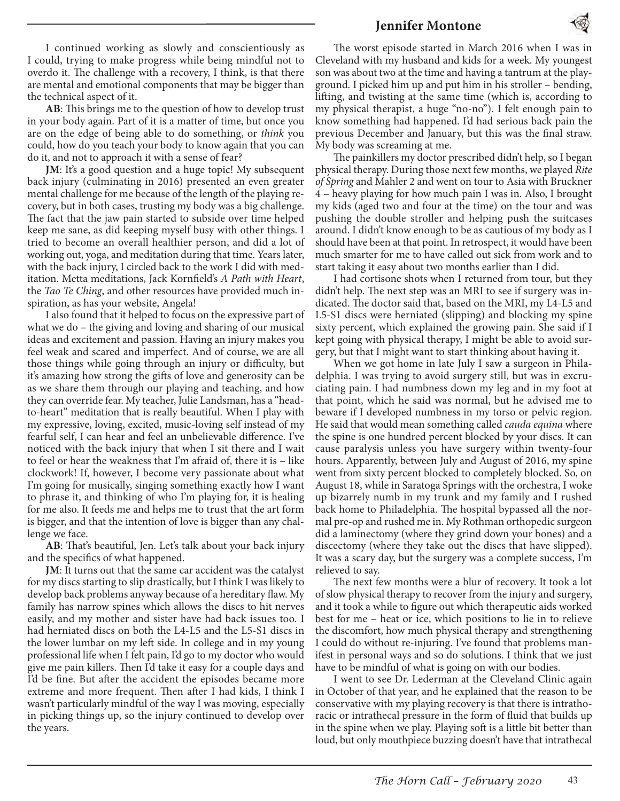## **Jennifer Montone**



I continued working as slowly and conscientiously as I could, trying to make progress while being mindful not to overdo it. The challenge with a recovery, I think, is that there are mental and emotional components that may be bigger than the technical aspect of it.

**AB**: This brings me to the question of how to develop trust in your body again. Part of it is a matter of time, but once you are on the edge of being able to do something, or *think* you could, how do you teach your body to know again that you can do it, and not to approach it with a sense of fear?

**JM**: It's a good question and a huge topic! My subsequent back injury (culminating in 2016) presented an even greater mental challenge for me because of the length of the playing recovery, but in both cases, trusting my body was a big challenge. The fact that the jaw pain started to subside over time helped keep me sane, as did keeping myself busy with other things. I tried to become an overall healthier person, and did a lot of working out, yoga, and meditation during that time. Years later, with the back injury, I circled back to the work I did with meditation. Metta meditations, Jack Kornfield's *A Path with Heart*, the *Tao Te Ching*, and other resources have provided much inspiration, as has your website, Angela!

I also found that it helped to focus on the expressive part of what we do – the giving and loving and sharing of our musical ideas and excitement and passion. Having an injury makes you feel weak and scared and imperfect. And of course, we are all those things while going through an injury or difficulty, but it's amazing how strong the gifts of love and generosity can be as we share them through our playing and teaching, and how they can override fear. My teacher, Julie Landsman, has a "headto-heart" meditation that is really beautiful. When I play with my expressive, loving, excited, music-loving self instead of my fearful self, I can hear and feel an unbelievable difference. I've noticed with the back injury that when I sit there and I wait to feel or hear the weakness that I'm afraid of, there it is – like clockwork! If, however, I become very passionate about what I'm going for musically, singing something exactly how I want to phrase it, and thinking of who I'm playing for, it is healing for me also. It feeds me and helps me to trust that the art form is bigger, and that the intention of love is bigger than any challenge we face.

**AB**: That's beautiful, Jen. Let's talk about your back injury and the specifics of what happened.

**JM**: It turns out that the same car accident was the catalyst for my discs starting to slip drastically, but I think I was likely to develop back problems anyway because of a hereditary flaw. My family has narrow spines which allows the discs to hit nerves easily, and my mother and sister have had back issues too. I had herniated discs on both the L4-L5 and the L5-S1 discs in the lower lumbar on my left side. In college and in my young professional life when I felt pain, I'd go to my doctor who would give me pain killers. Then I'd take it easy for a couple days and I'd be fine. But after the accident the episodes became more extreme and more frequent. Then after I had kids, I think I wasn't particularly mindful of the way I was moving, especially in picking things up, so the injury continued to develop over the years.

The worst episode started in March 2016 when I was in Cleveland with my husband and kids for a week. My youngest son was about two at the time and having a tantrum at the playground. I picked him up and put him in his stroller – bending, lifting, and twisting at the same time (which is, according to my physical therapist, a huge "no-no"). I felt enough pain to know something had happened. I'd had serious back pain the previous December and January, but this was the final straw. My body was screaming at me.

The painkillers my doctor prescribed didn't help, so I began physical therapy. During those next few months, we played *Rite of Spring* and Mahler 2 and went on tour to Asia with Bruckner 4 – heavy playing for how much pain I was in. Also, I brought my kids (aged two and four at the time) on the tour and was pushing the double stroller and helping push the suitcases around. I didn't know enough to be as cautious of my body as I should have been at that point. In retrospect, it would have been much smarter for me to have called out sick from work and to start taking it easy about two months earlier than I did.

I had cortisone shots when I returned from tour, but they didn't help. The next step was an MRI to see if surgery was indicated. The doctor said that, based on the MRI, my L4-L5 and L5-S1 discs were herniated (slipping) and blocking my spine sixty percent, which explained the growing pain. She said if I kept going with physical therapy, I might be able to avoid surgery, but that I might want to start thinking about having it.

When we got home in late July I saw a surgeon in Philadelphia. I was trying to avoid surgery still, but was in excruciating pain. I had numbness down my leg and in my foot at that point, which he said was normal, but he advised me to beware if I developed numbness in my torso or pelvic region. He said that would mean something called *cauda equina* where the spine is one hundred percent blocked by your discs. It can cause paralysis unless you have surgery within twenty-four hours. Apparently, between July and August of 2016, my spine went from sixty percent blocked to completely blocked. So, on August 18, while in Saratoga Springs with the orchestra, I woke up bizarrely numb in my trunk and my family and I rushed back home to Philadelphia. The hospital bypassed all the normal pre-op and rushed me in. My Rothman orthopedic surgeon did a laminectomy (where they grind down your bones) and a discectomy (where they take out the discs that have slipped). It was a scary day, but the surgery was a complete success, I'm relieved to say.

The next few months were a blur of recovery. It took a lot of slow physical therapy to recover from the injury and surgery, and it took a while to figure out which therapeutic aids worked best for me – heat or ice, which positions to lie in to relieve the discomfort, how much physical therapy and strengthening I could do without re-injuring. I've found that problems manifest in personal ways and so do solutions. I think that we just have to be mindful of what is going on with our bodies.

I went to see Dr. Lederman at the Cleveland Clinic again in October of that year, and he explained that the reason to be conservative with my playing recovery is that there is intrathoracic or intrathecal pressure in the form of fluid that builds up in the spine when we play. Playing soft is a little bit better than loud, but only mouthpiece buzzing doesn't have that intrathecal